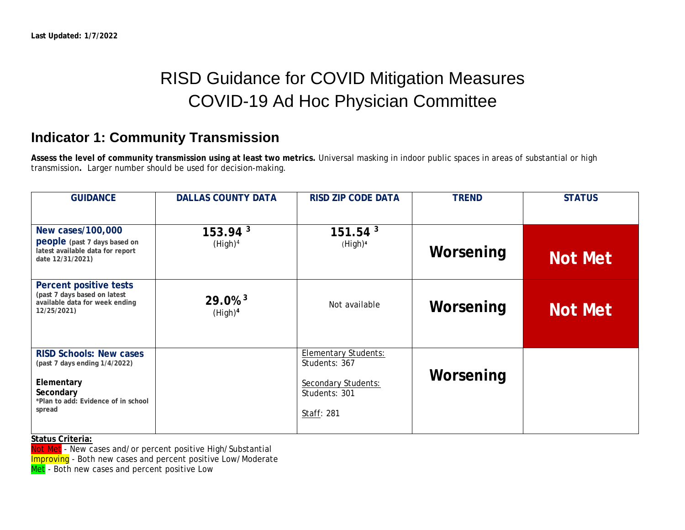# RISD Guidance for COVID Mitigation Measures COVID-19 Ad Hoc Physician Committee

### **Indicator 1: Community Transmission**

**Assess the level of community transmission using at least two metrics.** Universal masking in indoor public spaces in areas of substantial or high transmission**.** Larger number should be used for decision-making.

| <b>GUIDANCE</b>                                                                                                                             | <b>DALLAS COUNTY DATA</b>                    | <b>RISD ZIP CODE DATA</b>                                                                          | <b>TREND</b> | <b>STATUS</b>  |
|---------------------------------------------------------------------------------------------------------------------------------------------|----------------------------------------------|----------------------------------------------------------------------------------------------------|--------------|----------------|
| New cases/100,000<br>people (past 7 days based on<br>latest available data for report<br>date 12/31/2021)                                   | 153.94 <sup>3</sup><br>(High) <sup>4</sup>   | 151.54 <sup>3</sup><br>(High) <sup>4</sup>                                                         | Worsening    | <b>Not Met</b> |
| Percent positive tests<br>(past 7 days based on latest<br>available data for week ending<br>12/25/2021)                                     | $29.0\%$ <sup>3</sup><br>(High) <sup>4</sup> | Not available                                                                                      | Worsening    | <b>Not Met</b> |
| <b>RISD Schools: New cases</b><br>(past 7 days ending 1/4/2022)<br>Elementary<br>Secondary<br>*Plan to add: Evidence of in school<br>spread |                                              | <b>Elementary Students:</b><br>Students: 367<br>Secondary Students:<br>Students: 301<br>Staff: 281 | Worsening    |                |

**Status Criteria:**

Not Met - New cases and/or percent positive High/Substantial

**Improving** - Both new cases and percent positive Low/Moderate

Met - Both new cases and percent positive Low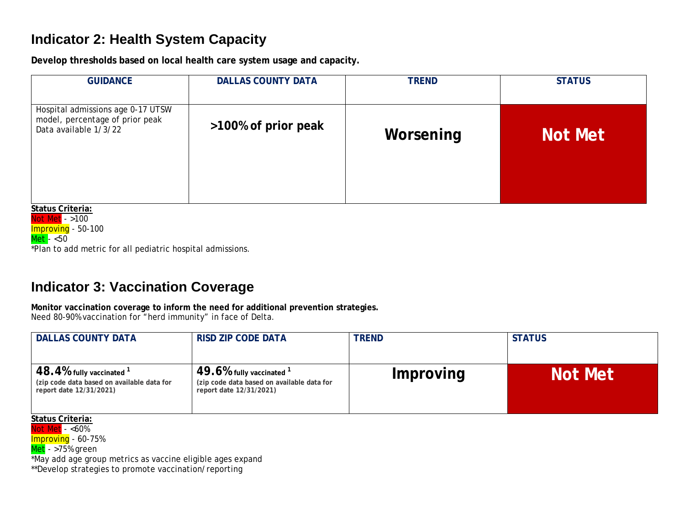### **Indicator 2: Health System Capacity**

**Develop thresholds based on local health care system usage and capacity.**

| <b>GUIDANCE</b>                                                                               | <b>DALLAS COUNTY DATA</b> | <b>TREND</b> | <b>STATUS</b>  |
|-----------------------------------------------------------------------------------------------|---------------------------|--------------|----------------|
| Hospital admissions age 0-17 UTSW<br>model, percentage of prior peak<br>Data available 1/3/22 | >100% of prior peak       | Worsening    | <b>Not Met</b> |

**Status Criteria:** Not Met - >100 Improving - 50-100 Met - <50 \*Plan to add metric for all pediatric hospital admissions.

## **Indicator 3: Vaccination Coverage**

**Monitor vaccination coverage to inform the need for additional prevention strategies.** Need 80-90% vaccination for "herd immunity" in face of Delta.

| <b>DALLAS COUNTY DATA</b>                                                                               | <b>RISD ZIP CODE DATA</b>                                                                           | <b>TREND</b> | <b>STATUS</b>  |
|---------------------------------------------------------------------------------------------------------|-----------------------------------------------------------------------------------------------------|--------------|----------------|
| $48.4\%$ fully vaccinated $^1$<br>(zip code data based on available data for<br>report date 12/31/2021) | 49.6% fully vaccinated $1$<br>(zip code data based on available data for<br>report date 12/31/2021) | Improving    | <b>Not Met</b> |

**Status Criteria:**

Not Met - <60%

Improving - 60-75%

 $Met - >75%$  green

\*May add age group metrics as vaccine eligible ages expand

\*\*Develop strategies to promote vaccination/reporting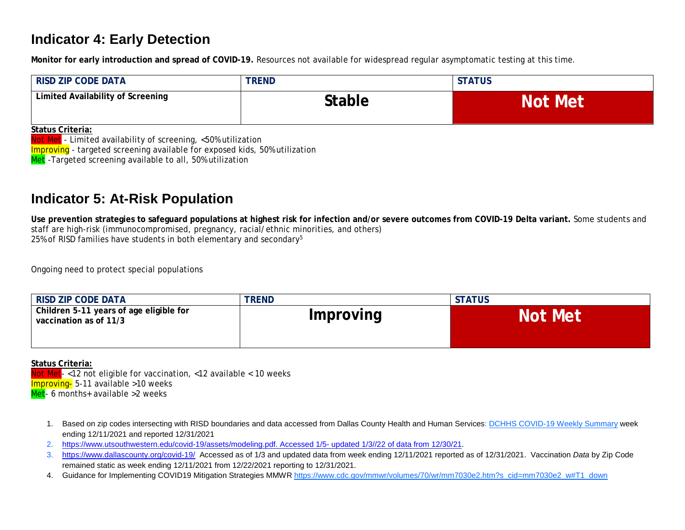#### **Indicator 4: Early Detection**

**Monitor for early introduction and spread of COVID-19.** Resources not available for widespread regular asymptomatic testing at this time.

| <b>RISD ZIP CODE DATA</b>         | <b>TREND</b> | <b>STATUS</b>  |
|-----------------------------------|--------------|----------------|
| Limited Availability of Screening | Stable       | <b>Not Met</b> |

**Status Criteria:**

Not Met - Limited availability of screening, <50% utilization

Improving - targeted screening available for exposed kids, 50% utilization

Met -Targeted screening available to all, 50% utilization

#### **Indicator 5: At-Risk Population**

**Use prevention strategies to safeguard populations at highest risk for infection and/or severe outcomes from COVID-19 Delta variant.** Some students and staff are high-risk (immunocompromised, pregnancy, racial/ethnic minorities, and others) 25% of RISD families have students in both elementary and secondary $5$ 

Ongoing need to protect special populations

| <b>RISD ZIP CODE DATA</b>                                         | <b>TREND</b> | <b>STATUS</b>  |
|-------------------------------------------------------------------|--------------|----------------|
| Children 5-11 years of age eligible for<br>vaccination as of 11/3 | Improving    | <b>Not Met</b> |

#### **Status Criteria:**

Not Met-<12 not eligible for vaccination, <12 available < 10 weeks Improving- 5-11 available >10 weeks Met- 6 months+ available >2 weeks

- 1. Based on zip codes intersecting with RISD boundaries and data accessed from Dallas County Health and Human Services: [DCHHS COVID-19 Weekly Summary](https://www.dallascounty.org/Assets/uploads/docs/hhs/2019-nCoV/2021-COVID-19-Summaries/CV19-Summaries-10-2021/DCHHS%20COVID-19%20Summary%2010%2022%202021.pdf) week ending 12/11/2021 and reported 12/31/2021
- 2. [https://www.utsouthwestern.edu/covid-19/assets/modeling.pdf. Accessed 1/5-](https://www.utsouthwestern.edu/covid-19/assets/modeling.pdf.%20Accessed%201/5-%20updated%201/3/22%20of%20data%20from%2012/30/21) updated 1/3//22 of data from 12/30/21.
- 3. <https://www.dallascounty.org/covid-19/>Accessed as of 1/3 and updated data from week ending 12/11/2021 reported as of 12/31/2021. Vaccination *Data* by Zip Code remained static as week ending 12/11/2021 from 12/22/2021 reporting to 12/31/2021.
- 4. Guidance for Implementing COVID19 Mitigation Strategies MMWR [https://www.cdc.gov/mmwr/volumes/70/wr/mm7030e2.htm?s\\_cid=mm7030e2\\_w#T1\\_down](https://www.cdc.gov/mmwr/volumes/70/wr/mm7030e2.htm?s_cid=mm7030e2_w#T1_down)